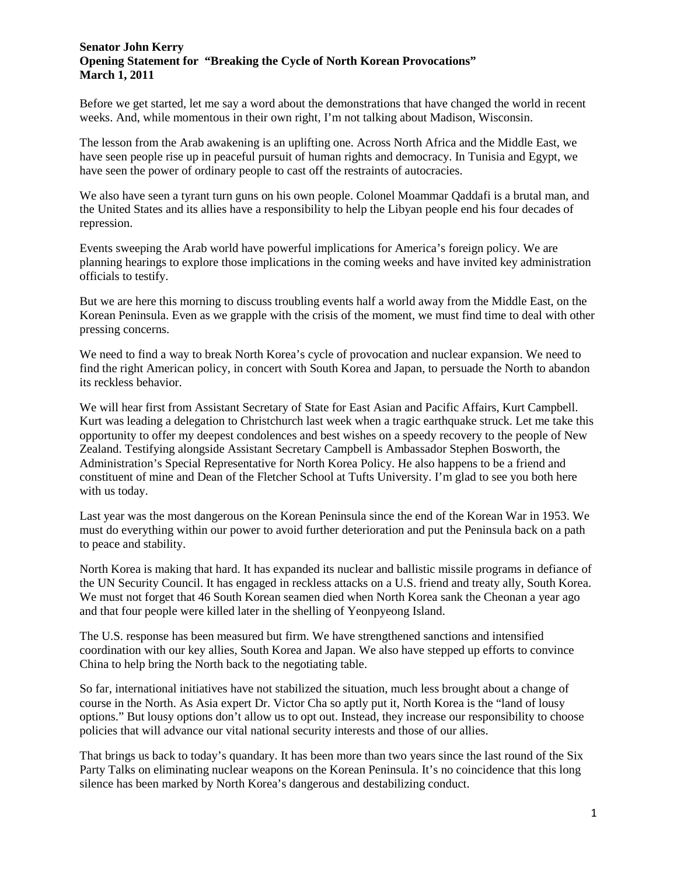## **Senator John Kerry Opening Statement for "Breaking the Cycle of North Korean Provocations" March 1, 2011**

Before we get started, let me say a word about the demonstrations that have changed the world in recent weeks. And, while momentous in their own right, I'm not talking about Madison, Wisconsin.

The lesson from the Arab awakening is an uplifting one. Across North Africa and the Middle East, we have seen people rise up in peaceful pursuit of human rights and democracy. In Tunisia and Egypt, we have seen the power of ordinary people to cast off the restraints of autocracies.

We also have seen a tyrant turn guns on his own people. Colonel Moammar Qaddafi is a brutal man, and the United States and its allies have a responsibility to help the Libyan people end his four decades of repression.

Events sweeping the Arab world have powerful implications for America's foreign policy. We are planning hearings to explore those implications in the coming weeks and have invited key administration officials to testify.

But we are here this morning to discuss troubling events half a world away from the Middle East, on the Korean Peninsula. Even as we grapple with the crisis of the moment, we must find time to deal with other pressing concerns.

We need to find a way to break North Korea's cycle of provocation and nuclear expansion. We need to find the right American policy, in concert with South Korea and Japan, to persuade the North to abandon its reckless behavior.

We will hear first from Assistant Secretary of State for East Asian and Pacific Affairs, Kurt Campbell. Kurt was leading a delegation to Christchurch last week when a tragic earthquake struck. Let me take this opportunity to offer my deepest condolences and best wishes on a speedy recovery to the people of New Zealand. Testifying alongside Assistant Secretary Campbell is Ambassador Stephen Bosworth, the Administration's Special Representative for North Korea Policy. He also happens to be a friend and constituent of mine and Dean of the Fletcher School at Tufts University. I'm glad to see you both here with us today.

Last year was the most dangerous on the Korean Peninsula since the end of the Korean War in 1953. We must do everything within our power to avoid further deterioration and put the Peninsula back on a path to peace and stability.

North Korea is making that hard. It has expanded its nuclear and ballistic missile programs in defiance of the UN Security Council. It has engaged in reckless attacks on a U.S. friend and treaty ally, South Korea. We must not forget that 46 South Korean seamen died when North Korea sank the Cheonan a year ago and that four people were killed later in the shelling of Yeonpyeong Island.

The U.S. response has been measured but firm. We have strengthened sanctions and intensified coordination with our key allies, South Korea and Japan. We also have stepped up efforts to convince China to help bring the North back to the negotiating table.

So far, international initiatives have not stabilized the situation, much less brought about a change of course in the North. As Asia expert Dr. Victor Cha so aptly put it, North Korea is the "land of lousy options." But lousy options don't allow us to opt out. Instead, they increase our responsibility to choose policies that will advance our vital national security interests and those of our allies.

That brings us back to today's quandary. It has been more than two years since the last round of the Six Party Talks on eliminating nuclear weapons on the Korean Peninsula. It's no coincidence that this long silence has been marked by North Korea's dangerous and destabilizing conduct.